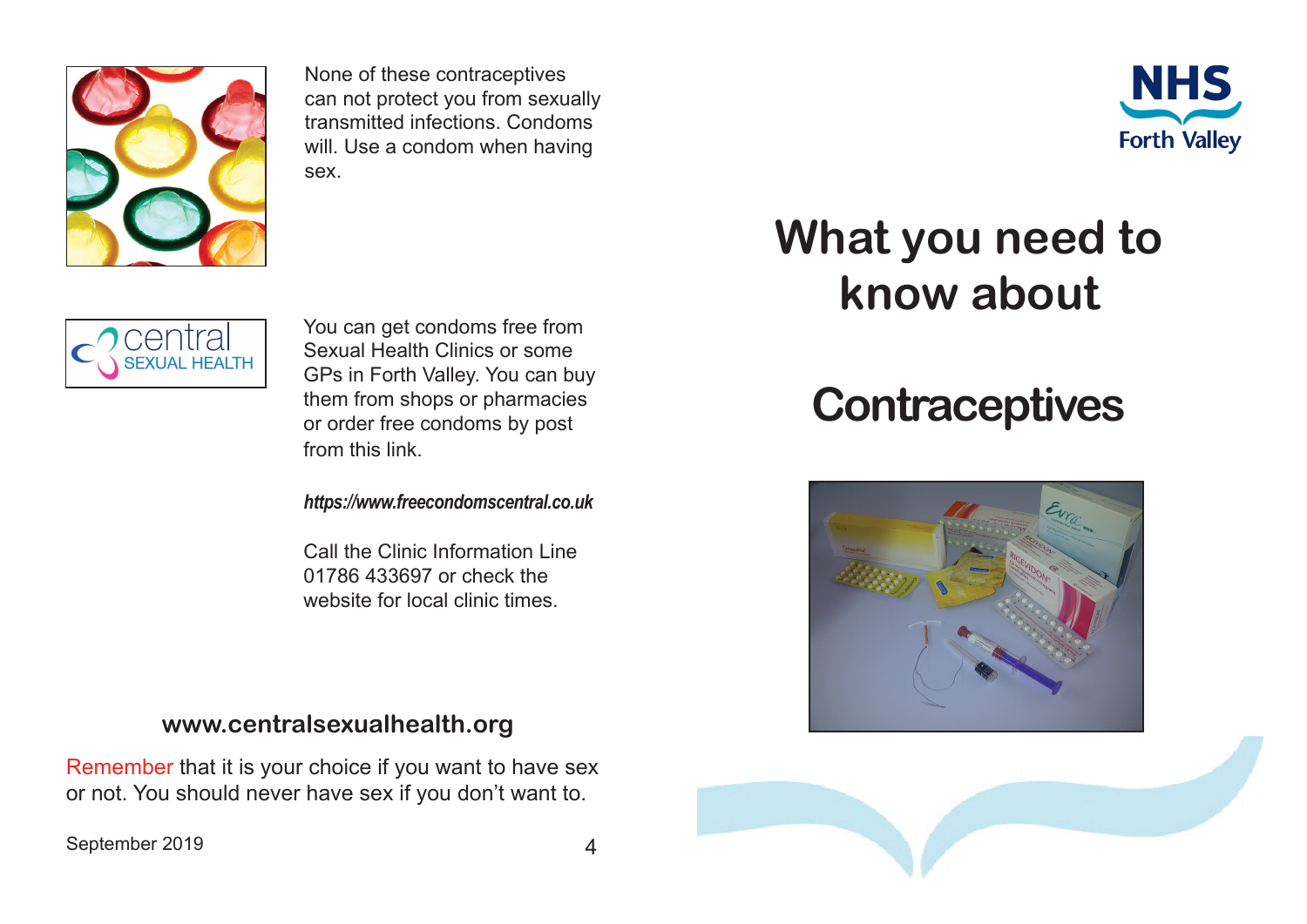

None of these contraceptives can not protect you from sexually transmitted infections. Condoms will. Use a condom when having sex.



## **What you need to know about**

## **Contraceptives**







You can get condoms free from Sexual Health Clinics or some GPs in Forth Valley. You can buy them from shops or pharmacies or order free condoms by post from this link.

*https://www.freecondomscentral.co.uk*

Call the Clinic Information Line 01786 433697 or check the website for local clinic times.

## **www.centralsexualhealth.org**

Remember that it is your choice if you want to have sex or not. You should never have sex if you don't want to.

September 2019 4